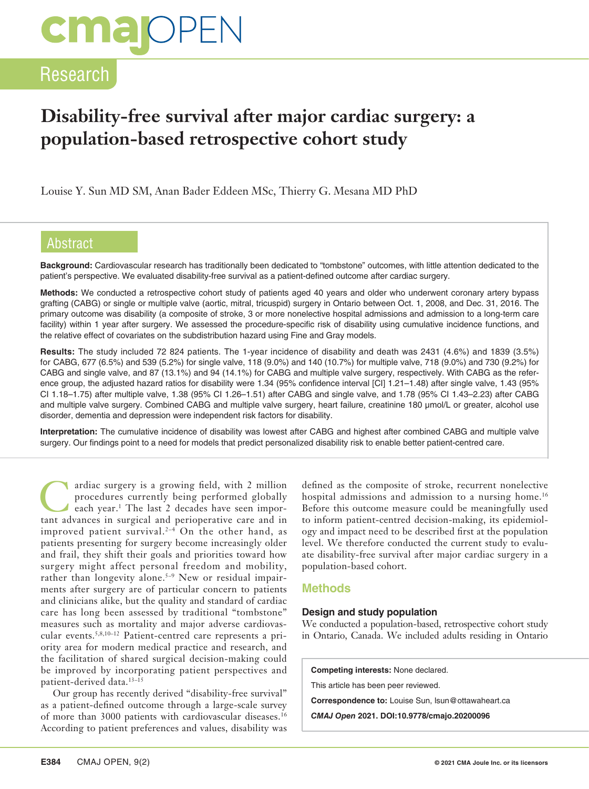# **cma** OPEI

### Research

### **Disability-free survival after major cardiac surgery: a population-based retrospective cohort study**

Louise Y. Sun MD SM, Anan Bader Eddeen MSc, Thierry G. Mesana MD PhD

#### Abstract

**Background:** Cardiovascular research has traditionally been dedicated to "tombstone" outcomes, with little attention dedicated to the patient's perspective. We evaluated disability-free survival as a patient-defined outcome after cardiac surgery.

**Methods:** We conducted a retrospective cohort study of patients aged 40 years and older who underwent coronary artery bypass grafting (CABG) or single or multiple valve (aortic, mitral, tricuspid) surgery in Ontario between Oct. 1, 2008, and Dec. 31, 2016. The primary outcome was disability (a composite of stroke, 3 or more nonelective hospital admissions and admission to a long-term care facility) within 1 year after surgery. We assessed the procedure-specific risk of disability using cumulative incidence functions, and the relative effect of covariates on the subdistribution hazard using Fine and Gray models.

**Results:** The study included 72 824 patients. The 1-year incidence of disability and death was 2431 (4.6%) and 1839 (3.5%) for CABG, 677 (6.5%) and 539 (5.2%) for single valve, 118 (9.0%) and 140 (10.7%) for multiple valve, 718 (9.0%) and 730 (9.2%) for CABG and single valve, and 87 (13.1%) and 94 (14.1%) for CABG and multiple valve surgery, respectively. With CABG as the reference group, the adjusted hazard ratios for disability were 1.34 (95% confidence interval [CI] 1.21–1.48) after single valve, 1.43 (95% CI 1.18–1.75) after multiple valve, 1.38 (95% CI 1.26–1.51) after CABG and single valve, and 1.78 (95% CI 1.43–2.23) after CABG and multiple valve surgery. Combined CABG and multiple valve surgery, heart failure, creatinine 180 μmol/L or greater, alcohol use disorder, dementia and depression were independent risk factors for disability.

**Interpretation:** The cumulative incidence of disability was lowest after CABG and highest after combined CABG and multiple valve surgery. Our findings point to a need for models that predict personalized disability risk to enable better patient-centred care.

ardiac surgery is a growing field, with 2 million procedures currently being performed globally each year.<sup>1</sup> The last 2 decades have seen imporprocedures currently being performed globally tant advances in surgical and perioperative care and in improved patient survival.<sup>2-4</sup> On the other hand, as patients presenting for surgery become increasingly older and frail, they shift their goals and priorities toward how surgery might affect personal freedom and mobility, rather than longevity alone.<sup>5-9</sup> New or residual impairments after surgery are of particular concern to patients and clinicians alike, but the quality and standard of cardiac care has long been assessed by traditional "tombstone" measures such as mortality and major adverse cardiovascular events.5,8,10–12 Patient-centred care represents a priority area for modern medical practice and research, and the facilitation of shared surgical decision-making could be improved by incorporating patient perspectives and patient-derived data.<sup>13-15</sup>

Our group has recently derived "disability-free survival" as a patient-defined outcome through a large-scale survey of more than 3000 patients with cardiovascular diseases.16 According to patient preferences and values, disability was

defined as the composite of stroke, recurrent nonelective hospital admissions and admission to a nursing home.<sup>16</sup> Before this outcome measure could be meaningfully used to inform patient-centred decision-making, its epidemiology and impact need to be described first at the population level. We therefore conducted the current study to evaluate disability-free survival after major cardiac surgery in a population-based cohort.

#### **Methods**

#### **Design and study population**

We conducted a population-based, retrospective cohort study in Ontario, Canada. We included adults residing in Ontario

**Competing interests:** None declared.

This article has been peer reviewed.

**Correspondence to:** Louise Sun, lsun@ottawaheart.ca

*CMAJ Open* **2021. DOI:10.9778/cmajo.20200096**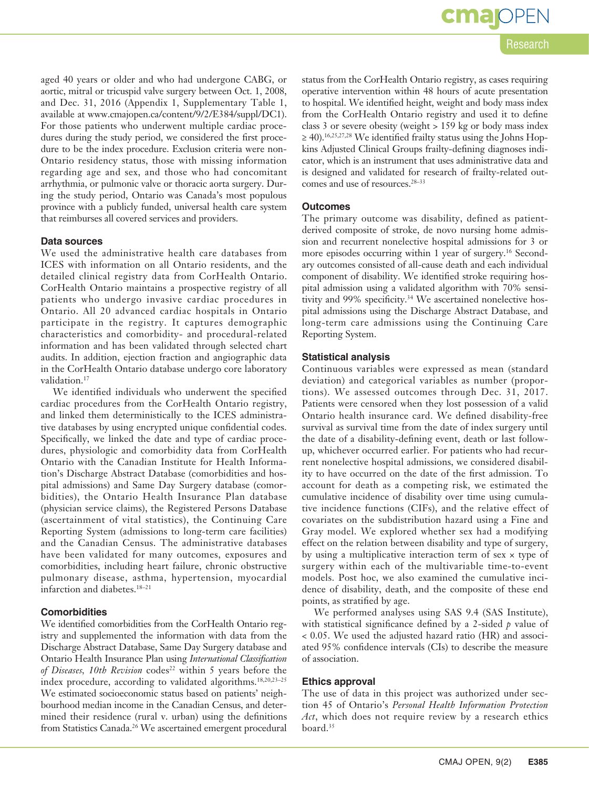Research

aged 40 years or older and who had undergone CABG, or aortic, mitral or tricuspid valve surgery between Oct. 1, 2008, and Dec. 31, 2016 (Appendix 1, Supplementary Table 1, available at www.cmajopen.ca/content/9/2/E384/suppl/DC1). For those patients who underwent multiple cardiac procedures during the study period, we considered the first procedure to be the index procedure. Exclusion criteria were non-Ontario residency status, those with missing information regarding age and sex, and those who had concomitant arrhythmia, or pulmonic valve or thoracic aorta surgery. During the study period, Ontario was Canada's most populous province with a publicly funded, universal health care system that reimburses all covered services and providers.

#### **Data sources**

We used the administrative health care databases from ICES with information on all Ontario residents, and the detailed clinical registry data from CorHealth Ontario. CorHealth Ontario maintains a prospective registry of all patients who undergo invasive cardiac procedures in Ontario. All 20 advanced cardiac hospitals in Ontario participate in the registry. It captures demographic characteristics and comorbidity- and procedural-related information and has been validated through selected chart audits. In addition, ejection fraction and angiographic data in the CorHealth Ontario database undergo core laboratory validation.<sup>17</sup>

We identified individuals who underwent the specified cardiac procedures from the CorHealth Ontario registry, and linked them deterministically to the ICES administrative databases by using encrypted unique confidential codes. Specifically, we linked the date and type of cardiac procedures, physiologic and comorbidity data from CorHealth Ontario with the Canadian Institute for Health Information's Discharge Abstract Database (comorbidities and hospital admissions) and Same Day Surgery database (comorbidities), the Ontario Health Insurance Plan database (physician service claims), the Registered Persons Database (ascertainment of vital statistics), the Continuing Care Reporting System (admissions to long-term care facilities) and the Canadian Census. The administrative databases have been validated for many outcomes, exposures and comorbidities, including heart failure, chronic obstructive pulmonary disease, asthma, hypertension, myocardial infarction and diabetes.18–21

#### **Comorbidities**

We identified comorbidities from the CorHealth Ontario registry and supplemented the information with data from the Discharge Abstract Database, Same Day Surgery database and Ontario Health Insurance Plan using *International Classification of Diseases, 10th Revision* codes<sup>22</sup> within 5 years before the index procedure, according to validated algorithms.18,20,23–25 We estimated socioeconomic status based on patients' neighbourhood median income in the Canadian Census, and determined their residence (rural v. urban) using the definitions from Statistics Canada.<sup>26</sup> We ascertained emergent procedural

status from the CorHealth Ontario registry, as cases requiring operative intervention within 48 hours of acute presentation to hospital. We identified height, weight and body mass index from the CorHealth Ontario registry and used it to define class 3 or severe obesity (weight > 159 kg or body mass index  $\geq$  40).<sup>16,25,27,28</sup> We identified frailty status using the Johns Hopkins Adjusted Clinical Groups frailty-defining diagnoses indicator, which is an instrument that uses administrative data and is designed and validated for research of frailty-related outcomes and use of resources.<sup>28–33</sup>

#### **Outcomes**

The primary outcome was disability, defined as patientderived composite of stroke, de novo nursing home admission and recurrent nonelective hospital admissions for 3 or more episodes occurring within 1 year of surgery.<sup>16</sup> Secondary outcomes consisted of all-cause death and each individual component of disability. We identified stroke requiring hospital admission using a validated algorithm with 70% sensitivity and 99% specificity.<sup>34</sup> We ascertained nonelective hospital admissions using the Discharge Abstract Database, and long-term care admissions using the Continuing Care Reporting System.

#### **Statistical analysis**

Continuous variables were expressed as mean (standard deviation) and categorical variables as number (proportions). We assessed outcomes through Dec. 31, 2017. Patients were censored when they lost possession of a valid Ontario health insurance card. We defined disability-free survival as survival time from the date of index surgery until the date of a disability-defining event, death or last followup, whichever occurred earlier. For patients who had recurrent nonelective hospital admissions, we considered disability to have occurred on the date of the first admission. To account for death as a competing risk, we estimated the cumulative incidence of disability over time using cumulative incidence functions (CIFs), and the relative effect of covariates on the subdistribution hazard using a Fine and Gray model. We explored whether sex had a modifying effect on the relation between disability and type of surgery, by using a multiplicative interaction term of sex  $\times$  type of surgery within each of the multivariable time-to-event models. Post hoc, we also examined the cumulative incidence of disability, death, and the composite of these end points, as stratified by age.

We performed analyses using SAS 9.4 (SAS Institute), with statistical significance defined by a 2-sided *p* value of < 0.05. We used the adjusted hazard ratio (HR) and associated 95% confidence intervals (CIs) to describe the measure of association.

#### **Ethics approval**

The use of data in this project was authorized under section 45 of Ontario's *Personal Health Information Protection Act*, which does not require review by a research ethics board.<sup>35</sup>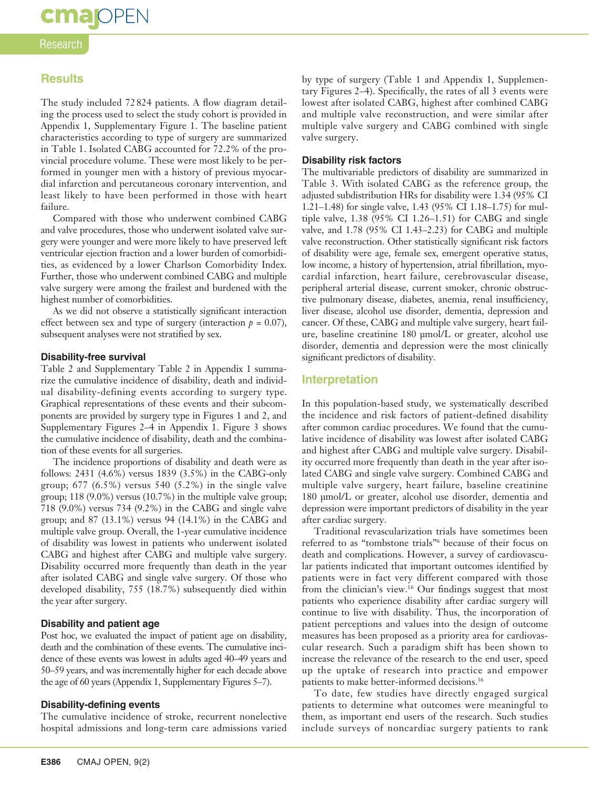## **cma**OPEN

#### Research

#### **Results**

The study included 72 824 patients. A flow diagram detailing the process used to select the study cohort is provided in Appendix 1, Supplementary Figure 1. The baseline patient characteristics according to type of surgery are summarized in Table 1. Isolated CABG accounted for 72.2% of the provincial procedure volume. These were most likely to be performed in younger men with a history of previous myocardial infarction and percutaneous coronary intervention, and least likely to have been performed in those with heart failure.

Compared with those who underwent combined CABG and valve procedures, those who underwent isolated valve surgery were younger and were more likely to have preserved left ventricular ejection fraction and a lower burden of comorbidities, as evidenced by a lower Charlson Comorbidity Index. Further, those who underwent combined CABG and multiple valve surgery were among the frailest and burdened with the highest number of comorbidities.

As we did not observe a statistically significant interaction effect between sex and type of surgery (interaction  $p = 0.07$ ), subsequent analyses were not stratified by sex.

#### **Disability-free survival**

Table 2 and Supplementary Table 2 in Appendix 1 summarize the cumulative incidence of disability, death and individual disability-defining events according to surgery type. Graphical representations of these events and their subcomponents are provided by surgery type in Figures 1 and 2, and Supplementary Figures 2–4 in Appendix 1. Figure 3 shows the cumulative incidence of disability, death and the combination of these events for all surgeries.

The incidence proportions of disability and death were as follows: 2431 (4.6%) versus 1839 (3.5%) in the CABG-only group; 677 (6.5%) versus 540 (5.2%) in the single valve group; 118 (9.0%) versus (10.7%) in the multiple valve group; 718 (9.0%) versus 734 (9.2%) in the CABG and single valve group; and 87 (13.1%) versus 94 (14.1%) in the CABG and multiple valve group. Overall, the 1-year cumulative incidence of disability was lowest in patients who underwent isolated CABG and highest after CABG and multiple valve surgery. Disability occurred more frequently than death in the year after isolated CABG and single valve surgery. Of those who developed disability, 755 (18.7%) subsequently died within the year after surgery.

#### **Disability and patient age**

Post hoc, we evaluated the impact of patient age on disability, death and the combination of these events. The cumulative incidence of these events was lowest in adults aged 40–49 years and 50–59 years, and was incrementally higher for each decade above the age of 60 years (Appendix 1, Supplementary Figures 5–7).

#### **Disability-defining events**

The cumulative incidence of stroke, recurrent nonelective hospital admissions and long-term care admissions varied by type of surgery (Table 1 and Appendix 1, Supplementary Figures 2–4). Specifically, the rates of all 3 events were lowest after isolated CABG, highest after combined CABG and multiple valve reconstruction, and were similar after multiple valve surgery and CABG combined with single valve surgery.

#### **Disability risk factors**

The multivariable predictors of disability are summarized in Table 3. With isolated CABG as the reference group, the adjusted subdistribution HRs for disability were 1.34 (95% CI 1.21–1.48) for single valve, 1.43 (95% CI 1.18–1.75) for multiple valve, 1.38 (95% CI 1.26–1.51) for CABG and single valve, and 1.78 (95% CI 1.43–2.23) for CABG and multiple valve reconstruction. Other statistically significant risk factors of disability were age, female sex, emergent operative status, low income, a history of hypertension, atrial fibrillation, myocardial infarction, heart failure, cerebrovascular disease, peripheral arterial disease, current smoker, chronic obstructive pulmonary disease, diabetes, anemia, renal insufficiency, liver disease, alcohol use disorder, dementia, depression and cancer. Of these, CABG and multiple valve surgery, heart failure, baseline creatinine 180 μmol/L or greater, alcohol use disorder, dementia and depression were the most clinically significant predictors of disability.

#### **Interpretation**

In this population-based study, we systematically described the incidence and risk factors of patient-defined disability after common cardiac procedures. We found that the cumulative incidence of disability was lowest after isolated CABG and highest after CABG and multiple valve surgery. Disability occurred more frequently than death in the year after isolated CABG and single valve surgery. Combined CABG and multiple valve surgery, heart failure, baseline creatinine 180 μmol/L or greater, alcohol use disorder, dementia and depression were important predictors of disability in the year after cardiac surgery.

Traditional revascularization trials have sometimes been referred to as "tombstone trials"6 because of their focus on death and complications. However, a survey of cardiovascular patients indicated that important outcomes identified by patients were in fact very different compared with those from the clinician's view.16 Our findings suggest that most patients who experience disability after cardiac surgery will continue to live with disability. Thus, the incorporation of patient perceptions and values into the design of outcome measures has been proposed as a priority area for cardiovascular research. Such a paradigm shift has been shown to increase the relevance of the research to the end user, speed up the uptake of research into practice and empower patients to make better-informed decisions.<sup>36</sup>

To date, few studies have directly engaged surgical patients to determine what outcomes were meaningful to them, as important end users of the research. Such studies include surveys of noncardiac surgery patients to rank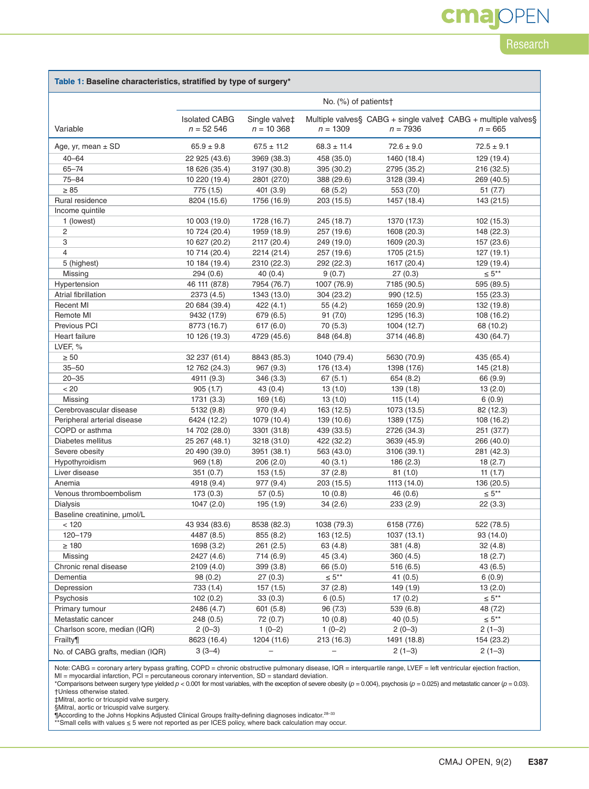# **cmajOPEN**

### **Research**

#### **Table 1: Baseline characteristics, stratified by type of surgery\***

|                                  | No. $(\%)$ of patients†             |                               |                   |                |                                                                            |  |  |
|----------------------------------|-------------------------------------|-------------------------------|-------------------|----------------|----------------------------------------------------------------------------|--|--|
| Variable                         | <b>Isolated CABG</b><br>$n = 52546$ | Single valve‡<br>$n = 10,368$ | $n = 1309$        | $n = 7936$     | Multiple valves§ CABG + single valve‡ CABG + multiple valves§<br>$n = 665$ |  |  |
|                                  |                                     |                               |                   |                |                                                                            |  |  |
| Age, yr, mean $\pm$ SD           | $65.9 \pm 9.8$                      | $67.5 \pm 11.2$               | $68.3 \pm 11.4$   | $72.6 \pm 9.0$ | $72.5 \pm 9.1$                                                             |  |  |
| $40 - 64$                        | 22 925 (43.6)                       | 3969 (38.3)                   | 458 (35.0)        | 1460 (18.4)    | 129 (19.4)                                                                 |  |  |
| $65 - 74$                        | 18 626 (35.4)                       | 3197 (30.8)                   | 395 (30.2)        | 2795 (35.2)    | 216 (32.5)                                                                 |  |  |
| $75 - 84$                        | 10 220 (19.4)                       | 2801 (27.0)                   | 388 (29.6)        | 3128 (39.4)    | 269 (40.5)                                                                 |  |  |
| $\geq 85$                        | 775 (1.5)                           | 401(3.9)                      | 68 (5.2)          | 553 (7.0)      | 51 (7.7)                                                                   |  |  |
| Rural residence                  | 8204 (15.6)                         | 1756 (16.9)                   | 203 (15.5)        | 1457 (18.4)    | 143 (21.5)                                                                 |  |  |
| Income quintile                  |                                     |                               |                   |                |                                                                            |  |  |
| 1 (lowest)                       | 10 003 (19.0)                       | 1728 (16.7)                   | 245 (18.7)        | 1370 (17.3)    | 102 (15.3)                                                                 |  |  |
| 2                                | 10 724 (20.4)                       | 1959 (18.9)                   | 257 (19.6)        | 1608 (20.3)    | 148 (22.3)                                                                 |  |  |
| 3                                | 10 627 (20.2)                       | 2117 (20.4)                   | 249 (19.0)        | 1609 (20.3)    | 157 (23.6)                                                                 |  |  |
| $\overline{4}$                   | 10 714 (20.4)                       | 2214 (21.4)                   | 257 (19.6)        | 1705 (21.5)    | 127(19.1)                                                                  |  |  |
| 5 (highest)                      | 10 184 (19.4)                       | 2310 (22.3)                   | 292 (22.3)        | 1617 (20.4)    | 129 (19.4)                                                                 |  |  |
| Missing                          | 294 (0.6)                           | 40 (0.4)                      | 9(0.7)            | 27(0.3)        | $\leq 5***$                                                                |  |  |
| Hypertension                     | 46 111 (87.8)                       | 7954 (76.7)                   | 1007 (76.9)       | 7185 (90.5)    | 595 (89.5)                                                                 |  |  |
| Atrial fibrillation              | 2373 (4.5)                          | 1343 (13.0)                   | 304 (23.2)        | 990 (12.5)     | 155 (23.3)                                                                 |  |  |
| <b>Recent MI</b>                 | 20 684 (39.4)                       | 422(4.1)                      | 55(4.2)           | 1659 (20.9)    | 132 (19.8)                                                                 |  |  |
| Remote MI                        | 9432 (17.9)                         | 679 (6.5)                     | 91(7.0)           | 1295 (16.3)    | 108 (16.2)                                                                 |  |  |
| Previous PCI                     | 8773 (16.7)                         | 617(6.0)                      | 70(5.3)           | 1004 (12.7)    | 68 (10.2)                                                                  |  |  |
| Heart failure                    | 10 126 (19.3)                       | 4729 (45.6)                   | 848 (64.8)        | 3714 (46.8)    | 430 (64.7)                                                                 |  |  |
| LVEF, %                          |                                     |                               |                   |                |                                                                            |  |  |
| $\geq 50$                        | 32 237 (61.4)                       | 8843 (85.3)                   | 1040 (79.4)       | 5630 (70.9)    | 435 (65.4)                                                                 |  |  |
| $35 - 50$                        | 12 762 (24.3)                       | 967 (9.3)                     | 176 (13.4)        | 1398 (17.6)    | 145 (21.8)                                                                 |  |  |
| $20 - 35$                        | 4911 (9.3)                          | 346 (3.3)                     | 67(5.1)           | 654 (8.2)      | 66 (9.9)                                                                   |  |  |
| < 20                             | 905(1.7)                            | 43(0.4)                       | 13(1.0)           | 139 (1.8)      | 13(2.0)                                                                    |  |  |
| Missing                          | 1731 (3.3)                          | 169(1.6)                      | 13(1.0)           | 115(1.4)       | 6(0.9)                                                                     |  |  |
| Cerebrovascular disease          | 5132 (9.8)                          | 970 (9.4)                     | 163 (12.5)        | 1073 (13.5)    | 82 (12.3)                                                                  |  |  |
| Peripheral arterial disease      | 6424 (12.2)                         | 1079 (10.4)                   | 139 (10.6)        | 1389 (17.5)    | 108 (16.2)                                                                 |  |  |
| COPD or asthma                   | 14 702 (28.0)                       | 3301 (31.8)                   | 439 (33.5)        | 2726 (34.3)    | 251 (37.7)                                                                 |  |  |
| Diabetes mellitus                | 25 267 (48.1)                       | 3218 (31.0)                   | 422 (32.2)        | 3639 (45.9)    | 266 (40.0)                                                                 |  |  |
| Severe obesity                   | 20 490 (39.0)                       | 3951 (38.1)                   | 563 (43.0)        | 3106 (39.1)    | 281 (42.3)                                                                 |  |  |
| Hypothyroidism                   | 969(1.8)                            | 206(2.0)                      | 40(3.1)           | 186(2.3)       | 18(2.7)                                                                    |  |  |
| Liver disease                    | 351(0.7)                            | 153(1.5)                      | 37(2.8)           | 81 (1.0)       | 11 $(1.7)$                                                                 |  |  |
| Anemia                           | 4918 (9.4)                          | 977 (9.4)                     | 203 (15.5)        | 1113 (14.0)    | 136 (20.5)                                                                 |  |  |
| Venous thromboembolism           | 173(0.3)                            | 57(0.5)                       | 10(0.8)           | 46(0.6)        | $\leq 5***$                                                                |  |  |
| <b>Dialysis</b>                  | 1047(2.0)                           | 195 (1.9)                     | 34(2.6)           | 233(2.9)       | 22(3.3)                                                                    |  |  |
| Baseline creatinine, µmol/L      |                                     |                               |                   |                |                                                                            |  |  |
| < 120                            | 43 934 (83.6)                       | 8538 (82.3)                   | 1038 (79.3)       | 6158 (77.6)    | 522 (78.5)                                                                 |  |  |
| 120-179                          | 4487 (8.5)                          | 855 (8.2)                     | 163 (12.5)        | 1037 (13.1)    | 93 (14.0)                                                                  |  |  |
| $\geq 180$                       | 1698 (3.2)                          | 261 (2.5)                     | 63 (4.8)          | 381(4.8)       | 32(4.8)                                                                    |  |  |
| Missing                          | 2427 (4.6)                          | 714 (6.9)                     | 45 (3.4)          | 360 (4.5)      | 18(2.7)                                                                    |  |  |
| Chronic renal disease            | 2109 (4.0)                          | 399 (3.8)                     | 66 (5.0)          | 516(6.5)       | 43(6.5)                                                                    |  |  |
| Dementia                         | 98 (0.2)                            | 27(0.3)                       | $\leq 5^{**}$     | 41(0.5)        | 6(0.9)                                                                     |  |  |
| Depression                       | 733 (1.4)                           | 157 (1.5)                     | 37(2.8)           | 149 (1.9)      | 13(2.0)                                                                    |  |  |
| Psychosis                        | 102(0.2)                            | 33(0.3)                       | 6(0.5)            | 17(0.2)        | $\leq 5***$                                                                |  |  |
| Primary tumour                   | 2486 (4.7)                          | 601(5.8)                      | 96 (7.3)          | 539 (6.8)      | 48 (7.2)                                                                   |  |  |
| Metastatic cancer                | 248 (0.5)                           | 72 (0.7)                      | 10(0.8)           | 40(0.5)        | $\leq 5^{**}$                                                              |  |  |
| Charlson score, median (IQR)     | $2(0-3)$                            | $1(0-2)$                      | $1(0-2)$          | $2(0-3)$       | $2(1-3)$                                                                   |  |  |
|                                  | 8623 (16.4)                         | 1204 (11.6)                   |                   |                | 154 (23.2)                                                                 |  |  |
| Frailty¶                         |                                     |                               | 213 (16.3)        | 1491 (18.8)    |                                                                            |  |  |
| No. of CABG grafts, median (IQR) | $3(3-4)$                            | $\qquad \qquad -$             | $\qquad \qquad -$ | $2(1-3)$       | $2(1-3)$                                                                   |  |  |

Note: CABG = coronary artery bypass grafting, COPD = chronic obstructive pulmonary disease, IQR = interquartile range, LVEF = left ventricular ejection fraction,<br>MI = myocardial infarction, PCI = percutaneous coronary inte

\*Comparisons between surgery type yielded *p* < 0.001 for most variables, with the exception of severe obesity (*p* = 0.004), psychosis (*p* = 0.025) and metastatic cancer (*p* = 0.03). †Unless otherwise stated.

‡Mitral, aortic or tricuspid valve surgery.

§Mitral, aortic or tricuspid valve surgery.

¶According to the Johns Hopkins Adjusted Clinical Groups frailty-defining diagnoses indicator.<sup>28–33</sup><br>\*\*Small cells with values ≤ 5 were not reported as per ICES policy, where back calculation may occur.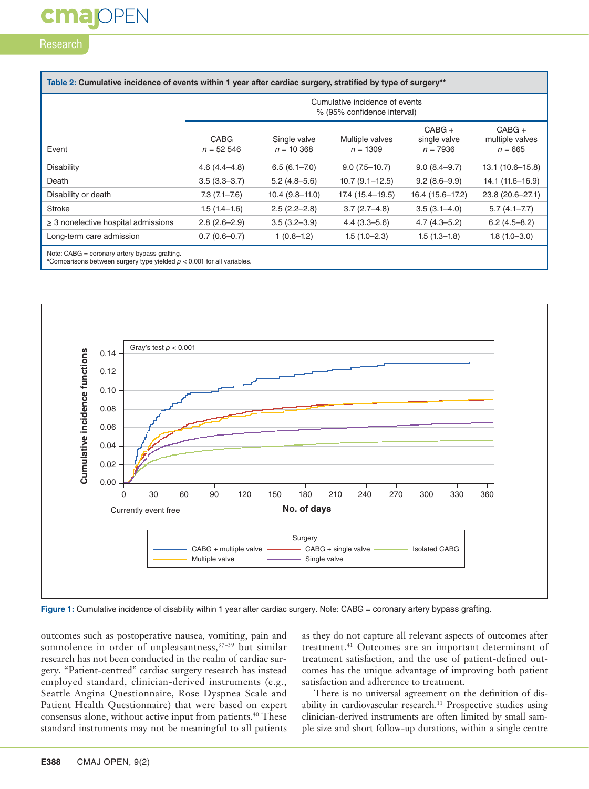# **cmalOPEN**

#### Research

| Table 2: Cumulative incidence of events within 1 year after cardiac surgery, stratified by type of surgery** |                                                               |                              |                               |                                        |                                          |  |  |  |
|--------------------------------------------------------------------------------------------------------------|---------------------------------------------------------------|------------------------------|-------------------------------|----------------------------------------|------------------------------------------|--|--|--|
|                                                                                                              | Cumulative incidence of events<br>% (95% confidence interval) |                              |                               |                                        |                                          |  |  |  |
| Event                                                                                                        | CABG<br>$n = 52,546$                                          | Single valve<br>$n = 10,368$ | Multiple valves<br>$n = 1309$ | $CABG +$<br>single valve<br>$n = 7936$ | $CABG +$<br>multiple valves<br>$n = 665$ |  |  |  |
| <b>Disability</b>                                                                                            | $4.6(4.4 - 4.8)$                                              | $6.5(6.1 - 7.0)$             | $9.0(7.5-10.7)$               | $9.0(8.4 - 9.7)$                       | $13.1(10.6 - 15.8)$                      |  |  |  |
| Death                                                                                                        | $3.5(3.3 - 3.7)$                                              | $5.2(4.8-5.6)$               | $10.7(9.1 - 12.5)$            | $9.2(8.6-9.9)$                         | 14.1 (11.6-16.9)                         |  |  |  |
| Disability or death                                                                                          | $7.3(7.1 - 7.6)$                                              | $10.4(9.8-11.0)$             | 17.4 (15.4–19.5)              | 16.4 (15.6-17.2)                       | 23.8 (20.6-27.1)                         |  |  |  |
| <b>Stroke</b>                                                                                                | $1.5(1.4-1.6)$                                                | $2.5(2.2 - 2.8)$             | $3.7(2.7-4.8)$                | $3.5(3.1 - 4.0)$                       | $5.7(4.1 - 7.7)$                         |  |  |  |
| $\geq$ 3 nonelective hospital admissions                                                                     | $2.8(2.6-2.9)$                                                | $3.5(3.2 - 3.9)$             | $4.4(3.3 - 5.6)$              | $4.7(4.3 - 5.2)$                       | $6.2(4.5 - 8.2)$                         |  |  |  |
| Long-term care admission                                                                                     | $0.7(0.6-0.7)$                                                | $1(0.8-1.2)$                 | $1.5(1.0-2.3)$                | $1.5(1.3-1.8)$                         | $1.8(1.0 - 3.0)$                         |  |  |  |
| Note: CABG = coronary artery bypass grafting.                                                                |                                                               |                              |                               |                                        |                                          |  |  |  |

Note: CABG = coronary artery bypass grafting. **\***Comparisons between surgery type yielded *p* < 0.001 for all variables.



Figure 1: Cumulative incidence of disability within 1 year after cardiac surgery. Note: CABG = coronary artery bypass grafting.

outcomes such as postoperative nausea, vomiting, pain and somnolence in order of unpleasantness,<sup>37-39</sup> but similar research has not been conducted in the realm of cardiac surgery. "Patient-centred" cardiac surgery research has instead employed standard, clinician-derived instruments (e.g., Seattle Angina Questionnaire, Rose Dyspnea Scale and Patient Health Questionnaire) that were based on expert consensus alone, without active input from patients.<sup>40</sup> These standard instruments may not be meaningful to all patients

as they do not capture all relevant aspects of outcomes after treatment.<sup>41</sup> Outcomes are an important determinant of treatment satisfaction, and the use of patient-defined outcomes has the unique advantage of improving both patient satisfaction and adherence to treatment.

There is no universal agreement on the definition of disability in cardiovascular research.<sup>11</sup> Prospective studies using clinician-derived instruments are often limited by small sample size and short follow-up durations, within a single centre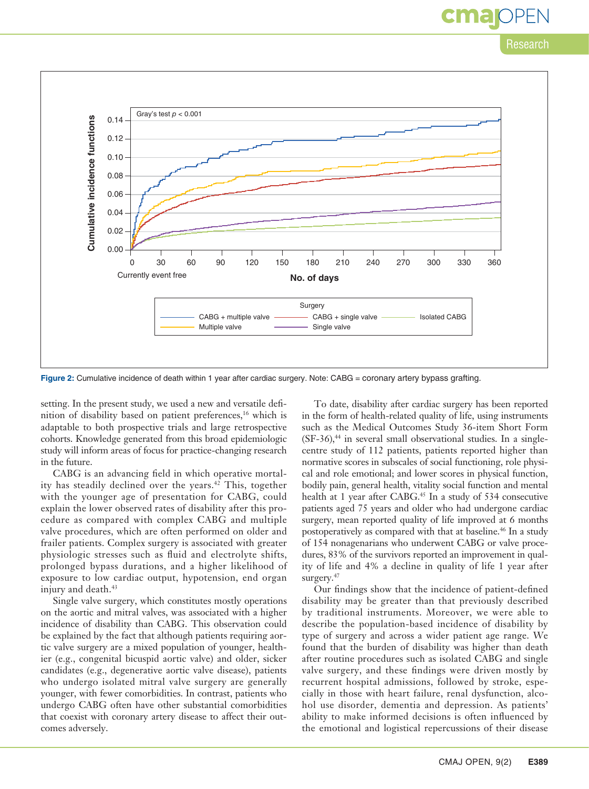### Research

cma



Figure 2: Cumulative incidence of death within 1 year after cardiac surgery. Note: CABG = coronary artery bypass grafting.

setting. In the present study, we used a new and versatile definition of disability based on patient preferences,<sup>16</sup> which is adaptable to both prospective trials and large retrospective cohorts. Knowledge generated from this broad epidemiologic study will inform areas of focus for practice-changing research in the future.

CABG is an advancing field in which operative mortality has steadily declined over the years.<sup>42</sup> This, together with the younger age of presentation for CABG, could explain the lower observed rates of disability after this procedure as compared with complex CABG and multiple valve procedures, which are often performed on older and frailer patients. Complex surgery is associated with greater physiologic stresses such as fluid and electrolyte shifts, prolonged bypass durations, and a higher likelihood of exposure to low cardiac output, hypotension, end organ injury and death.<sup>43</sup>

Single valve surgery, which constitutes mostly operations on the aortic and mitral valves, was associated with a higher incidence of disability than CABG. This observation could be explained by the fact that although patients requiring aortic valve surgery are a mixed population of younger, healthier (e.g., congenital bicuspid aortic valve) and older, sicker candidates (e.g., degenerative aortic valve disease), patients who undergo isolated mitral valve surgery are generally younger, with fewer comorbidities. In contrast, patients who undergo CABG often have other substantial comorbidities that coexist with coronary artery disease to affect their outcomes adversely.

To date, disability after cardiac surgery has been reported in the form of health-related quality of life, using instruments such as the Medical Outcomes Study 36-item Short Form  $(SF-36)$ ,<sup>44</sup> in several small observational studies. In a singlecentre study of 112 patients, patients reported higher than normative scores in subscales of social functioning, role physical and role emotional; and lower scores in physical function, bodily pain, general health, vitality social function and mental health at 1 year after CABG.<sup>45</sup> In a study of 534 consecutive patients aged 75 years and older who had undergone cardiac surgery, mean reported quality of life improved at 6 months postoperatively as compared with that at baseline.<sup>46</sup> In a study of 154 nonagenarians who underwent CABG or valve procedures, 83% of the survivors reported an improvement in quality of life and 4% a decline in quality of life 1 year after surgery.<sup>47</sup>

Our findings show that the incidence of patient-defined disability may be greater than that previously described by traditional instruments. Moreover, we were able to describe the population-based incidence of disability by type of surgery and across a wider patient age range. We found that the burden of disability was higher than death after routine procedures such as isolated CABG and single valve surgery, and these findings were driven mostly by recurrent hospital admissions, followed by stroke, especially in those with heart failure, renal dysfunction, alcohol use disorder, dementia and depression. As patients' ability to make informed decisions is often influenced by the emotional and logistical repercussions of their disease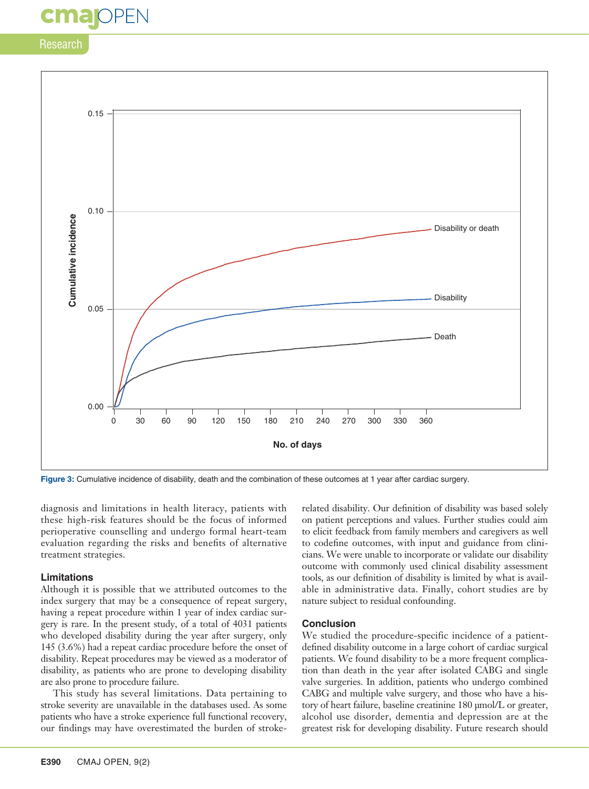# **cmajoPEN**

Research



**Figure 3:** Cumulative incidence of disability, death and the combination of these outcomes at 1 year after cardiac surgery.

diagnosis and limitations in health literacy, patients with these high-risk features should be the focus of informed perioperative counselling and undergo formal heart-team evaluation regarding the risks and benefits of alternative treatment strategies.

#### **Limitations**

Although it is possible that we attributed outcomes to the index surgery that may be a consequence of repeat surgery, having a repeat procedure within 1 year of index cardiac surgery is rare. In the present study, of a total of 4031 patients who developed disability during the year after surgery, only 145 (3.6%) had a repeat cardiac procedure before the onset of disability. Repeat procedures may be viewed as a moderator of disability, as patients who are prone to developing disability are also prone to procedure failure.

This study has several limitations. Data pertaining to stroke severity are unavailable in the databases used. As some patients who have a stroke experience full functional recovery, our findings may have overestimated the burden of strokerelated disability. Our definition of disability was based solely on patient perceptions and values. Further studies could aim to elicit feedback from family members and caregivers as well to codefine outcomes, with input and guidance from clinicians. We were unable to incorporate or validate our disability outcome with commonly used clinical disability assessment tools, as our definition of disability is limited by what is available in administrative data. Finally, cohort studies are by nature subject to residual confounding.

#### **Conclusion**

We studied the procedure-specific incidence of a patientdefined disability outcome in a large cohort of cardiac surgical patients. We found disability to be a more frequent complication than death in the year after isolated CABG and single valve surgeries. In addition, patients who undergo combined CABG and multiple valve surgery, and those who have a history of heart failure, baseline creatinine 180 μmol/L or greater, alcohol use disorder, dementia and depression are at the greatest risk for developing disability. Future research should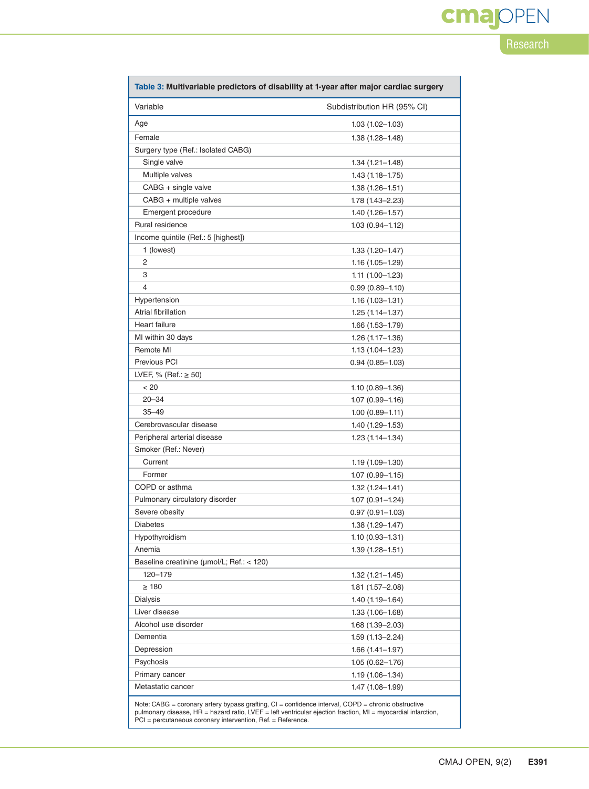| Table 3: Multivariable predictors of disability at 1-year after major cardiac surgery |                             |  |  |  |
|---------------------------------------------------------------------------------------|-----------------------------|--|--|--|
| Variable                                                                              | Subdistribution HR (95% CI) |  |  |  |
| Age                                                                                   | $1.03(1.02 - 1.03)$         |  |  |  |
| Female                                                                                | $1.38(1.28 - 1.48)$         |  |  |  |
| Surgery type (Ref.: Isolated CABG)                                                    |                             |  |  |  |
| Single valve                                                                          | 1.34 (1.21–1.48)            |  |  |  |
| Multiple valves                                                                       | $1.43(1.18 - 1.75)$         |  |  |  |
| CABG + single valve                                                                   | $1.38(1.26 - 1.51)$         |  |  |  |
| CABG + multiple valves                                                                | 1.78 (1.43–2.23)            |  |  |  |
| Emergent procedure                                                                    | $1.40(1.26 - 1.57)$         |  |  |  |
| Rural residence                                                                       | $1.03(0.94 - 1.12)$         |  |  |  |
| Income quintile (Ref.: 5 [highest])                                                   |                             |  |  |  |
| 1 (lowest)                                                                            | 1.33 (1.20–1.47)            |  |  |  |
| 2                                                                                     | $1.16(1.05 - 1.29)$         |  |  |  |
| 3                                                                                     | $1.11(1.00-1.23)$           |  |  |  |
| $\overline{4}$                                                                        | $0.99(0.89 - 1.10)$         |  |  |  |
| Hypertension                                                                          | $1.16(1.03 - 1.31)$         |  |  |  |
| Atrial fibrillation                                                                   | $1.25(1.14 - 1.37)$         |  |  |  |
| Heart failure                                                                         | $1.66(1.53 - 1.79)$         |  |  |  |
| MI within 30 days                                                                     | $1.26(1.17-1.36)$           |  |  |  |
| Remote MI                                                                             | $1.13(1.04 - 1.23)$         |  |  |  |
| Previous PCI                                                                          | $0.94(0.85-1.03)$           |  |  |  |
| LVEF, % (Ref.: $\geq$ 50)                                                             |                             |  |  |  |
| < 20                                                                                  | $1.10(0.89 - 1.36)$         |  |  |  |
| $20 - 34$                                                                             | $1.07(0.99 - 1.16)$         |  |  |  |
| $35 - 49$                                                                             | $1.00(0.89 - 1.11)$         |  |  |  |
| Cerebrovascular disease                                                               | 1.40 (1.29–1.53)            |  |  |  |
| Peripheral arterial disease                                                           | $1.23(1.14 - 1.34)$         |  |  |  |
| Smoker (Ref.: Never)                                                                  |                             |  |  |  |
| Current                                                                               | $1.19(1.09 - 1.30)$         |  |  |  |
| Former                                                                                | $1.07(0.99 - 1.15)$         |  |  |  |
| COPD or asthma                                                                        | $1.32(1.24 - 1.41)$         |  |  |  |
| Pulmonary circulatory disorder                                                        | 1.07 (0.91-1.24)            |  |  |  |
| Severe obesity                                                                        | $0.97(0.91 - 1.03)$         |  |  |  |
| Diabetes                                                                              | 1.38 (1.29-1.47)            |  |  |  |
| Hypothyroidism                                                                        | $1.10(0.93 - 1.31)$         |  |  |  |
| Anemia                                                                                | $1.39(1.28 - 1.51)$         |  |  |  |
| Baseline creatinine (µmol/L; Ref.: < 120)                                             |                             |  |  |  |
| 120-179                                                                               | $1.32(1.21 - 1.45)$         |  |  |  |
| $\geq 180$                                                                            | $1.81(1.57 - 2.08)$         |  |  |  |
| Dialysis                                                                              | $1.40(1.19 - 1.64)$         |  |  |  |
| Liver disease                                                                         | $1.33(1.06 - 1.68)$         |  |  |  |
| Alcohol use disorder                                                                  | 1.68 (1.39-2.03)            |  |  |  |
| Dementia                                                                              | 1.59 (1.13–2.24)            |  |  |  |
| Depression                                                                            | $1.66(1.41-1.97)$           |  |  |  |
| Psychosis                                                                             | $1.05(0.62 - 1.76)$         |  |  |  |
| Primary cancer                                                                        | $1.19(1.06 - 1.34)$         |  |  |  |
| Metastatic cancer                                                                     | 1.47 (1.08-1.99)            |  |  |  |
|                                                                                       |                             |  |  |  |

Note: CABG = coronary artery bypass grafting, CI = confidence interval, COPD = chronic obstructive<br>pulmonary disease, HR = hazard ratio, LVEF = left ventricular ejection fraction, MI = myocardial infarction,<br>PCI = percutan

Research

**cmajOPEN**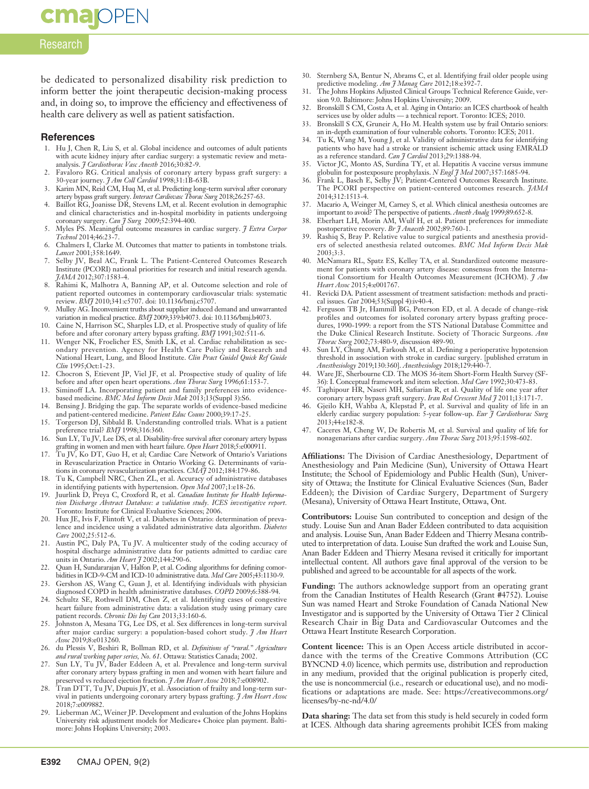Research

**cmajoPEN** 

be dedicated to personalized disability risk prediction to inform better the joint therapeutic decision-making process and, in doing so, to improve the efficiency and effectiveness of health care delivery as well as patient satisfaction.

#### **References**

- 1. Hu J, Chen R, Liu S, et al. Global incidence and outcomes of adult patients with acute kidney injury after cardiac surgery: a systematic review and metaanalysis. *J Cardiothorac Vasc Anesth* 2016;30:82-9.
- 2. Favaloro RG. Critical analysis of coronary artery bypass graft surgery: a 30-year journey. *J Am Coll Cardiol* 1998;31:1B-63B.
- 3. Karim MN, Reid CM, Huq M, et al. Predicting long-term survival after coronary artery bypass graft surgery. *Interact Cardiovasc Thorac Surg* 2018;26:257-63.
- Baillot RG, Joanisse DR, Stevens LM, et al. Recent evolution in demographic and clinical characteristics and in-hospital morbidity in patients undergoing coronary surgery. *Can J Surg* 2009;52:394-400.
- 5. Myles PS. Meaningful outcome measures in cardiac surgery. *J Extra Corpor Technol* 2014;46:23-7.
- 6. Chalmers I, Clarke M. Outcomes that matter to patients in tombstone trials. *Lancet* 2001;358:1649.
- 7. Selby JV, Beal AC, Frank L. The Patient-Centered Outcomes Research Institute (PCORI) national priorities for research and initial research agenda. *JAMA* 2012;307:1583-4.
- 8. Rahimi K, Malhotra A, Banning AP, et al. Outcome selection and role of patient reported outcomes in contemporary cardiovascular trials: systematic review. *BMJ* 2010;341:c5707. doi: 10.1136/bmj.c5707.
- 9. Mulley AG. Inconvenient truths about supplier induced demand and unwarranted variation in medical practice. *BMJ* 2009;339:b4073. doi: 10.1136/bmj.b4073.
- 10. Caine N, Harrison SC, Sharples LD, et al. Prospective study of quality of life
- before and after coronary artery bypass grafting. *BMJ* 1991;302:511-6.<br>11. Wenger NK, Froelicher ES, Smith LK, et al. Cardiac rehabilitation as secondary prevention. Agency for Health Care Policy and Research and National Heart, Lung, and Blood Institute. *Clin Pract Guidel Quick Ref Guide Clin* 1995;Oct:1-23.
- 12. Chocron S, Etievent JP, Viel JF, et al. Prospective study of quality of life before and after open heart operations. *Ann Thorac Surg* 1996;61:153-7.
- 13. Siminoff LA. Incorporating patient and family preferences into evidencebased medicine. *BMC Med Inform Decis Mak* 2013;13(Suppl 3):S6.
- 14. Bensing J. Bridging the gap. The separate worlds of evidence-based medicine and patient-centered medicine. *Patient Educ Couns* 2000;39:17-25.
- 15. Torgerson DJ, Sibbald B. Understanding controlled trials. What is a patient preference trial? *BMJ* 1998;316:360.
- 16. Sun LY, Tu JV, Lee DS, et al. Disability-free survival after coronary artery bypass grafting in women and men with heart failure. *Open Heart* 2018;5:e000911.
- 17. Tu JV, Ko DT, Guo H, et al; Cardiac Care Network of Ontario's Variations in Revascularization Practice in Ontario Working G. Determinants of variations in coronary revascularization practices. *CMAJ* 2012;184:179-86.
- 18. Tu K, Campbell NRC, Chen ZL, et al. Accuracy of administrative databases in identifying patients with hypertension. *Open Med* 2007;1:e18-26.
- 19. Juurlink D, Preya C, Croxford R, et al. *Canadian Institute for Health Information Discharge Abstract Database: a validation study. ICES investigative report.*  Toronto: Institute for Clinical Evaluative Sciences; 2006.
- 20. Hux JE, Ivis F, Flintoft V, et al. Diabetes in Ontario: determination of prevalence and incidence using a validated administrative data algorithm. *Diabetes Care* 2002;25:512-6.
- 21. Austin PC, Daly PA, Tu JV. A multicenter study of the coding accuracy of hospital discharge administrative data for patients admitted to cardiac care units in Ontario. *Am Heart J* 2002;144:290-6.
- 22. Quan H, Sundararajan V, Halfon P, et al. Coding algorithms for defining comorbidities in ICD-9-CM and ICD-10 administrative data. *Med Care* 2005;43:1130-9.
- 23. Gershon AS, Wang C, Guan J, et al. Identifying individuals with physician diagnosed COPD in health administrative databases. *COPD* 2009;6:388-94.
- 24. Schultz SE, Rothwell DM, Chen Z, et al. Identifying cases of congestive heart failure from administrative data: a validation study using primary care patient records. *Chronic Dis Inj Can* 2013;33:160-6.
- 25. Johnston A, Mesana TG, Lee DS, et al. Sex differences in long-term survival after major cardiac surgery: a population-based cohort study. *J Am Heart Assoc* 2019;8:e013260.
- 26. du Plessis V, Beshiri R, Bollman RD, et al. *Definitions of "rural." Agriculture and rural working paper series, No. 61*. Ottawa: Statistics Canada; 2002.
- 27. Sun LY, Tu JV, Bader Eddeen A, et al. Prevalence and long-term survival after coronary artery bypass grafting in men and women with heart failure and preserved vs reduced ejection fraction. *J Am Heart Assoc* 2018;7:e008902.
- 28. Tran DTT, Tu JV, Dupuis JY, et al. Association of frailty and long-term survival in patients undergoing coronary artery bypass grafting. *J Am Heart Assoc* 2018;7:e009882.
- 29. Lieberman AC, Weiner JP. Development and evaluation of the Johns Hopkins University risk adjustment models for Medicare+ Choice plan payment. Baltimore: Johns Hopkins University; 2003.
- 30. Sternberg SA, Bentur N, Abrams C, et al. Identifying frail older people using predictive modeling. *Am J Manag Care* 2012;18:e392.
- 31. The Johns Hopkins Adjusted Clinical Groups Technical Reference Guide, version 9.0. Baltimore: Johns Hopkins University; 2009.
- 32. Bronskill S CM, Costa A, et al. Aging in Ontario: an ICES chartbook of health services use by older adults — a technical report. Toronto: ICES; 2010.
- 33. Bronskill S CX, Gruneir A, Ho M. Health system use by frail Ontario seniors: an in-depth examination of four vulnerable cohorts. Toronto: ICES; 2011.
- 34. Tu K, Wang M, Young J, et al. Validity of administrative data for identifying patients who have had a stroke or transient ischemic attack using EMRALD
- as a reference standard. *Can J Cardiol* 2013;29:1388-94. 35. Victor JC, Monto AS, Surdina TY, et al. Hepatitis A vaccine versus immune globulin for postexposure prophylaxis. *N Engl J Med* 2007;357:1685-94.
- 36. Frank L, Basch E, Selby JV; Patient-Centered Outcomes Research Institute. The PCORI perspective on patient-centered outcomes research. *JAMA* 2014;312:1513-4.
- 37. Macario A, Weinger M, Carney S, et al. Which clinical anesthesia outcomes are
- important to avoid? The perspective of patients. *Anesth Analg* 1999;89:652-8. 38. Eberhart LH, Morin AM, Wulf H, et al. Patient preferences for immediate postoperative recovery. *Br J Anaesth* 2002;89:760-1.
- 39. Rashiq S, Bray P. Relative value to surgical patients and anesthesia providers of selected anesthesia related outcomes. *BMC Med Inform Decis Mak* 2003;3:3.
- 40. McNamara RL, Spatz ES, Kelley TA, et al. Standardized outcome measurement for patients with coronary artery disease: consensus from the International Consortium for Health Outcomes Measurement (ICHOM). *J Am Heart Assoc* 2015;4:e001767.
- 41. Revicki DA. Patient assessment of treatment satisfaction: methods and practical issues. *Gut* 2004;53(Suppl 4):iv40-4.
- 42. Ferguson TB Jr, Hammill BG, Peterson ED, et al. A decade of change–risk profiles and outcomes for isolated coronary artery bypass grafting procedures, 1990-1999: a report from the STS National Database Committee and the Duke Clinical Research Institute. Society of Thoracic Surgeons. *Ann Thorac Surg* 2002;73:480-9, discussion 489-90.
- 43. Sun LY, Chung AM, Farkouh M, et al. Defining a perioperative hypotension threshold in association with stroke in cardiac surgery. [published erratum in *Anesthesiology* 2019;130:360]. *Anesthesiology* 2018;129:440-7.
- 44. Ware JE, Sherbourne CD. The MOS 36-item Short-Form Health Survey (SF-36): I. Conceptual framework and item selection. *Med Care* 1992;30:473-83.
- 45. Taghipour HR, Naseri MH, Safiarian R, et al. Quality of life one year after coronary artery bypass graft surgery. *Iran Red Crescent Med J* 2011;13:171-7.
- 46. Gjeilo KH, Wahba A, Klepstad P, et al. Survival and quality of life in an elderly cardiac surgery population: 5-year follow-up. *Eur J Cardiothorac Surg* 2013;44:e182-8.
- 47. Caceres M, Cheng W, De Robertis M, et al. Survival and quality of life for nonagenarians after cardiac surgery. *Ann Thorac Surg* 2013;95:1598-602.

**Affiliations:** The Division of Cardiac Anesthesiology, Department of Anesthesiology and Pain Medicine (Sun), University of Ottawa Heart Institute; the School of Epidemiology and Public Health (Sun), University of Ottawa; the Institute for Clinical Evaluative Sciences (Sun, Bader Eddeen); the Division of Cardiac Surgery, Department of Surgery (Mesana), University of Ottawa Heart Institute, Ottawa, Ont.

**Contributors:** Louise Sun contributed to conception and design of the study. Louise Sun and Anan Bader Eddeen contributed to data acquisition and analysis. Louise Sun, Anan Bader Eddeen and Thierry Mesana contributed to interpretation of data. Louise Sun drafted the work and Louise Sun, Anan Bader Eddeen and Thierry Mesana revised it critically for important intellectual content. All authors gave final approval of the version to be published and agreed to be accountable for all aspects of the work.

**Funding:** The authors acknowledge support from an operating grant from the Canadian Institutes of Health Research (Grant #4752). Louise Sun was named Heart and Stroke Foundation of Canada National New Investigator and is supported by the University of Ottawa Tier 2 Clinical Research Chair in Big Data and Cardiovascular Outcomes and the Ottawa Heart Institute Research Corporation.

**Content licence:** This is an Open Access article distributed in accordance with the terms of the Creative Commons Attribution (CC BYNCND 4.0) licence, which permits use, distribution and reproduction in any medium, provided that the original publication is properly cited, the use is noncommercial (i.e., research or educational use), and no modifications or adaptations are made. See: https://creativecommons.org/ licenses/by-nc-nd/4.0/

**Data sharing:** The data set from this study is held securely in coded form at ICES. Although data sharing agreements prohibit ICES from making